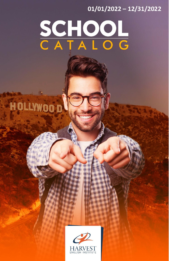# **01/01/2022 – 12/31/2022**

# SCHOOL<br>CATALOG

**HOLLYWOOD** 

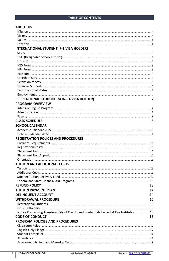# <span id="page-1-0"></span>**TABLE OF CONTENTS**

| <b>ABOUT US</b>                                                                            |    |
|--------------------------------------------------------------------------------------------|----|
|                                                                                            |    |
|                                                                                            |    |
|                                                                                            |    |
|                                                                                            |    |
| <b>INTERNATIONAL STUDENT (F-1 VISA HOLDER)</b>                                             |    |
|                                                                                            |    |
|                                                                                            |    |
|                                                                                            |    |
|                                                                                            |    |
|                                                                                            |    |
|                                                                                            |    |
|                                                                                            |    |
|                                                                                            |    |
|                                                                                            |    |
|                                                                                            |    |
|                                                                                            |    |
| RECREATIONAL STUDENT (NON-F1-VISA HOLDER)                                                  | 7  |
| <b>PROGRAM OVERVIEW</b>                                                                    |    |
|                                                                                            |    |
|                                                                                            |    |
|                                                                                            |    |
| <b>CLASS SCHEDULE</b>                                                                      | 8  |
| <b>SCHOOL CALENDAR</b>                                                                     |    |
|                                                                                            |    |
|                                                                                            |    |
|                                                                                            |    |
| <b>REGISTRATION POLICES AND PROCEDURES</b>                                                 |    |
|                                                                                            |    |
|                                                                                            |    |
|                                                                                            |    |
|                                                                                            |    |
|                                                                                            |    |
| TUITION AND ADDITIONAL COSTS                                                               |    |
|                                                                                            |    |
|                                                                                            |    |
|                                                                                            |    |
|                                                                                            |    |
| <b>REFUND POLICY</b>                                                                       | 13 |
| <b>TUITION PAYMENT PLAN</b>                                                                | 14 |
| <b>DELINQUENT ACCOUNT</b>                                                                  | 14 |
| <b>WITHDRAWAL PROCEDURE</b>                                                                | 15 |
|                                                                                            |    |
|                                                                                            |    |
| Notice Concerning Transferability of Credits and Credentials Earned at Our Institution  16 |    |
| <b>CODE OF CONDUCT</b>                                                                     | 16 |
| <b>PROGRAM POLICIES AND PROCEDURES</b>                                                     |    |
|                                                                                            |    |
|                                                                                            |    |
|                                                                                            |    |
|                                                                                            |    |
|                                                                                            |    |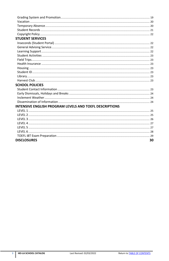| <b>STUDENT SERVICES</b>                                 |    |
|---------------------------------------------------------|----|
|                                                         |    |
|                                                         |    |
|                                                         |    |
|                                                         |    |
|                                                         |    |
|                                                         |    |
|                                                         |    |
|                                                         |    |
|                                                         |    |
|                                                         |    |
| <b>SCHOOL POLICIES</b>                                  |    |
|                                                         |    |
|                                                         |    |
|                                                         |    |
|                                                         |    |
| INTENSIVE ENGLISH PROGRAM LEVELS AND TOEFL DESCRIPTIONS |    |
|                                                         |    |
|                                                         |    |
|                                                         |    |
|                                                         |    |
|                                                         |    |
|                                                         |    |
|                                                         |    |
| <b>DISCLOSURES</b>                                      | 30 |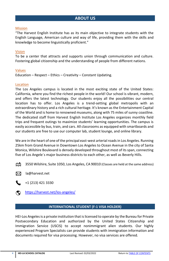#### <span id="page-3-1"></span><span id="page-3-0"></span>Mission

"The Harvest English Institute has as its main objective to integrate students with the English Language, American culture and way of life, providing them with the skills and knowledge to become linguistically proficient."

#### <span id="page-3-2"></span>Vision

To be a center that attracts and supports union through communication and culture. Fostering global citizenship and the understanding of people from different nations.

#### <span id="page-3-3"></span>Values

Education – Respect – Ethics – Creativity – Constant Updating.

#### <span id="page-3-4"></span>Location

The Los Angeles campus is located in the most exciting state of the United States: California, where you find the richest people in the world! Our school is vibrant, modern, and offers the latest technology. Our students enjoy all the possibilities our central location has to offer. Los Angeles is a trend-setting global metropolis with an extraordinary history and a rich cultural heritage. It's known as the Entertainment Capital of the World and is home to renowned museums, along with 75 miles of sunny coastline. The dedicated staff from Harvest English Institute Los Angeles organizes monthly field trips and frequent outings to maximize students' learning opportunities. The campus is easily accessible by bus, train, and cars. All classrooms as equipped with smartboards and our students are free to use our computer lab, student lounge, and online library.

We are in the heart of one of the principal east-west arterial roads in Los Angeles. Running 25km from Grand Avenue in Downtown Los Angeles to Ocean Avenue in the city of Santa Monica, Wilshire Boulevard is densely developed throughout most of its span, connecting five of Los Angele´s major business districts to each other, as well as Beverly Hills.

ጠየ 3550 Wilshire, Suite 1050, Los Angeles, CA 90010 (Classes are held at the same address)

⊠ la@harvest.net

+1 (213) 421 3330

ಶ <https://harvest.net/los-angeles/>

#### **INTERNATIONAL STUDENT (F-1 VISA HOLDER)**

<span id="page-3-5"></span>HEI-Los Angelesis a private institution that is licensed to operate by the Bureau for Private Postsecondary Education and authorized by the United States Citizenship and Immigration Service (USCIS) to accept nonimmigrant alien students. Our highly experienced Program Specialists can provide students with immigration information and documents required for visa processing. However, no visa services are offered.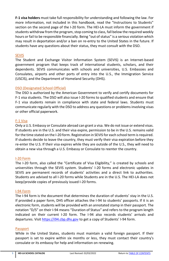**F-1 visa holders** must take full responsibility for understanding and following the law. For more information, not included in this handbook, read the "Instructions to Students" section on the second page of the I-20 form. The HEI-LA must inform the government if students withdraw from the program, stop coming to class, fall below the required weekly hours or fail to be responsible financially. Being "out of status" is a serious violation which may result in deportation and/or a ban on re-entry to the United States in the future. If students have any questions about their status, they must consult with the DSO.

# <span id="page-4-0"></span>SEVIS

The Student and Exchange Visitor Information System (SEVIS) is an Internet-based government program that keeps track of international students, scholars, and their dependents. SEVIS communicates with schools and universities, U.S. Embassies and Consulates, airports and other ports of entry into the U.S., the Immigration Service (USCIS), and the Department of Homeland Security (DHS).

# <span id="page-4-1"></span>DSO (Designated School Official)

The DSO is authorized by the American Government to verify and certify documents for F-1 visa students. The DSO will also issue I-20 forms to qualified students and ensure that F-1 visa students remain in compliance with state and federal laws. Students must communicate regularly with the DSO to address any questions or problems involving visas or other official paperwork.

#### <span id="page-4-2"></span>F-1 Visa

Only a U.S. Embassy or Consulate abroad can grant a visa. We do not issue or extend visas. If students are in the U.S. and their visa expire, permission to be in the U.S. remains valid for the time stated on the I-20 form. Registration in SEVIS for each school term is required. If students decide to leave the country, they must verify their visa expiration before they re-enter the U.S. If their visa expires while they are outside of the U.S., they will need to obtain a new visa through a U.S. Embassy or Consulate to reenter the country.

#### <span id="page-4-3"></span>I-20 Form

The I-20 form, also called the "Certificate of Visa Eligibility," is created by schools and universities through the SEVIS system. Students' I-20 forms and electronic updates in SEVIS are permanent records of students' activities and a direct link to authorities. Students are advised to all I-20 forms while Students are in the U.S. The HEI-LA does not keep/provide copies of previously issued I-20 forms.

#### <span id="page-4-4"></span>I-94 Form

The I-94 form is the document that determines the duration of students' stay in the U.S. If provided a paper form, DHS officer attaches the I-94 to students' passports. If it is an electronic form, students will be provided with an annotated stamp in their passport. The notation "D/S" on their I-94 means "Duration of Status" and refers to the program length indicated on their current I-20 form. The I-94 also records students' arrivals and departures. Visi[t https://i94.cbp.dhs.gov](https://i94.cbp.dhs.gov/I94/#/home) to get a copy of Students' I-94 form.

#### <span id="page-4-5"></span>Passport

While in the United States, students must maintain a valid foreign passport. If their passport is set to expire within six months or less, they must contact their country's consulate or its embassy for help and information on renewing.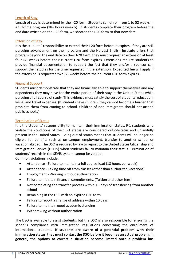#### <span id="page-5-0"></span>Length of Stay

Length of stay is determined by the I-20 form. Students can enroll from 1 to 52 weeks in a full-time program (18+ hours weekly). If students complete their program before the end date written on the I-20 form, we shorten the I-20 form to that new date.

#### <span id="page-5-1"></span>Extension of Stay

It is the students' responsibility to extend their I-20 form before it expires. If they are still pursuing advancement on their program and the Harvest English Institute offers that program beyond the end date on their I-20 form, they must request an extension at least four (4) weeks before their current I-20 form expires. Extensions require students to provide financial documentation to support the fact that they and/or a sponsor can support their studies for the time requested in the extension. **Expedited fee** will apply if the extension is requested two (2) weeks before their current I-20 form expires.

#### <span id="page-5-2"></span>Financial Support

Students must demonstrate that they are financially able to support themselves and any dependents they may have for the entire period of their stay in the United States while pursuing a full course of study. This evidence must satisfy the cost of students' education, living, and travel expenses. (If students have children, they cannot become a burden that prohibits them from coming to school. Children of non-immigrants should not attend public schools.)

#### <span id="page-5-3"></span>Termination of Status

It is the students' responsibility to maintain their immigration status. F-1 students who violate the conditions of their F-1 status are considered out-of-status and unlawfully present in the United States. Being out-of-status means that students will no longer be eligible for benefits such as on-campus employment, transfer to another school or vacation abroad. The DSO is required by law to report to the United States Citizenship and Immigration Service (USCIS) when students fail to maintain their status. Termination of students' records in the SEVIS system cannot be voided.

Common violations include:

- Attendance Failure to maintain a full course-load (18 hours per week)
- Attendance Taking time off from classes (other than authorized vacations)
- Employment Working without authorization
- Failure to maintain financial commitments. (Tuition and other fees)
- Not completing the transfer process within 15 days of transferring from another school
- Remaining in the U.S. with an expired I-20 form
- Failure to report a change of address within 10 days
- Failure to maintain good academic standing
- Withdrawing without authorization

The DSO is available to assist students, but the DSO is also responsible for ensuring the school's compliance with immigration regulations concerning the enrollment of international students. **If students are aware of a potential problem with their immigration status, they must contact the DSO before it becomes an actual problem. In general, the options to correct a situation become limited once a problem has**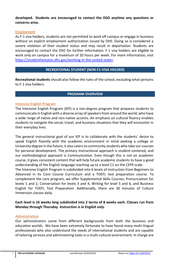#### **developed. Students are encouraged to contact the DSO anytime any questions or concerns arise.**

# <span id="page-6-0"></span>Employment

As F-1 visa holders, students are not permitted to work off campus or engage in business without an explicit employment authorization issued by DHS. Doing so is considered a severe violation of their student status and may result in deportation. Students are encouraged to contact the DSO for further information. F-1 visa holders are eligible to work only on campus for a maximum of 20 hours per week. For more information, visit [https://studyinthestates.dhs.gov/working-in-the-united-states.](https://studyinthestates.dhs.gov/working-in-the-united-states) 

# **RECREATIONAL STUDENT (NON-F1-VISA HOLDER)**

<span id="page-6-1"></span>**Recreational students** should also follow the rules of the school, excluding what pertains to F-1 visa holders.

# **PROGRAM OVERVIEW**

#### <span id="page-6-3"></span><span id="page-6-2"></span>Intensive English Program

The Intensive English Program (IEP) is a non-degree program that prepares students to communicate in English with a diverse array of speakers from around the world, who have a wide range of native and non-native accents. An emphasis on cultural fluency enables students to navigate the social, travel, and business situations that they will encounter in their everyday lives.

The general instructional goal of our IEP is to collaborate with the students' desire to speak English fluently with the academic environment in mind seeking a college or University degree in the future; it also caters to community students who take our courses for personal development. The primary instructional approach is student-centered, and our methodological approach is Communicative. Even though this is not an academic course, it gives consistent content that will help future academic students to have a good understanding of the English language reaching up to a level C1 on the CEFR scale.

The Intensive English Program is subdivided into 6 levels of instruction from Beginners to Advanced in its Core Course Curriculum and a TOEFL test preparation course. To complement the core program, we offer Supplemental Skills Courses: Pronunciation for levels 1 and 2, Conversation for levels 3 and 4, Writing for level 5 and 6, and Business English for TOEFL Test Preparation. Additionally, there are 30 minutes of Culture Immersion classes daily.

# **Each level is 16 weeks long subdivided into 2 terms of 8 weeks each. Classes run from Monday through Thursday**. *Instruction is in English only.*

#### <span id="page-6-4"></span>Administration

Our administrators come from different backgrounds from both the business and education worlds. We have been extremely fortunate to have found many multi-lingual professionals who also understand the needs of international students and are capable of tailoring services and administering tasks in a multi-cultural environment. In charge are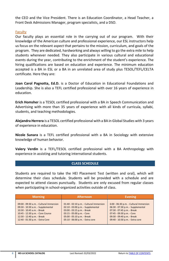the CEO and the Vice President. There is an Education Coordinator, a Head Teacher, a Front Desk Admissions Manager, program specialists, and a DSO.

# <span id="page-7-0"></span>Faculty

Our faculty plays an essential role in the carrying out of our program. With their knowledge of the American culture and professional experience, our ESL instructors help us focus on the relevant aspect that pertains to the mission, curriculum, and goals of the program. They are dedicated, hardworking and always willing to go the extra mile to help students whenever needed. They also participate in various cultural and educational events during the year, contributing to the enrichment of the student's experience. The hiring qualifications are based on education and experience. The minimum education accepted is a BA in ESL or a BA in an unrelated area of study plus TESOL/TEFL/CELTA certificate. Here they are:

**Joan Carol Pagnotta, Ed.D.** is a Doctor of Education in Educational Foundations and Leadership. She is also a TEFL certified professional with over 16 years of experience in education.

**Erich Homsher** is a TESOL certified professional with a BA in Speech Communication and Advertising with more than 35 years of experience with all kinds of curricula, syllabi, students, and teaching methodologies.

**Alejandra Herrera** is a TESOL certified professional with a BA in Global Studies with 3 years of experience in education.

**Nicole Sunara** is a TEFL certified professional with a BA in Sociology with extensive knowledge of human behavior.

**Valery Verdin** is a TEFL/TESOL certified professional with a BA Anthropology with experience in assisting and tutoring international students.

#### **CLASS SCHEDULE**

<span id="page-7-1"></span>Students are required to take the HEI Placement Test (written and oral), which will determine their class schedule. Students will be provided with a schedule and are expected to attend classes punctually. Students are only excused from regular classes when participating in school-organized activities outside of class.

| <b>Morning</b>                          | Afternoon                               | <b>Evening</b>                         |
|-----------------------------------------|-----------------------------------------|----------------------------------------|
| 09:00 - 09:30 a.m. - Cultural Immersion | 01:40 - 02:10 p.m. - Cultural Immersion | 6:00 - 06:30 p.m. - Cultural Immersion |
| 09:30 - 10:30 a.m. - Supplemental       | 02:10 - 03:00 p.m. - Supplemental       | 06:30 - 07:30 p.m. - Supplemental      |
| 10:30 - 10:45 a.m. - Break              | 03:00 - 03:15 p.m. - Break              | 07:30 - 07:45 p.m. - Break             |
| 10:45 - 12:30 p.m. - Core Course        | 03:15 - 05:00 p.m. - Core               | 07:45 - 09:30 p.m. - Core              |
| 12:30 - 12:40 p.m. - Break              | 05:00 - 05:10 p.m. - Break              | 09:30 - 09:40 p.m. - Break             |
| 12:40 - 01:30 p.m. - Extra Core         | 05:10 - 06:00 p.m. - Extra core         | 09:40 - 10:30 p.m. - Extra core        |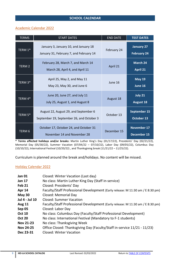# <span id="page-8-0"></span>**SCHOOL CALENDAR**

# <span id="page-8-1"></span>Academic Calendar 2022

| <b>TERMS</b>      | <b>START DATES</b>                                                                 | <b>END DATE</b> | <b>TEST DATES</b>                       |
|-------------------|------------------------------------------------------------------------------------|-----------------|-----------------------------------------|
| TERM 1*           | January 3, January 10, and January 18<br>January 31, February 7, and February 14   | February 24     | <b>January 27</b><br><b>February 24</b> |
| TERM <sub>2</sub> | February 28, March 7, and March 14<br>March 28, April 4, and April 11              | April 21        | March 24<br>April 21                    |
| TERM 3*           | April 25, May 2, and May 11<br>May 23, May 30, and June 6                          | June 16         | <b>May 19</b><br>June 16                |
| TERM 4*           | June 20, June 27, and July 11<br>July 25, August 1, and August 8                   | August 18       | July 21<br><b>August 18</b>             |
| TERM 5*           | August 22, August 29, and September 6<br>September 19, September 26, and October 3 | October 13      | September 15<br>October 13              |
| TERM <sub>6</sub> | October 17, October 24, and October 31<br>November 14 and November 28              | December 15     | November 17<br>December 15              |

**\* Terms affected holidays and/or breaks:** Martin Luther King's Day (01/17/22), Presidents' Day (02/21/22), Memorial Day (05/30/22), Summer Vacation (07/04/22 – 07/10/22), Labor Day (09/05/22), Columbus Day (10/10/22), International Festival (10/20/22) , and Thanksgiving break (11/21/22 – 11/25/22).

Curriculum is planned around the break and/holidays. No content will be missed.

#### <span id="page-8-2"></span>Holiday Calendar 2022

| <b>Jan 01</b>  | Closed: Winter Vacation (Last day)                                             |
|----------------|--------------------------------------------------------------------------------|
| <b>Jan 17</b>  | No class: Martin Luther King Day (Staff in-service)                            |
| Feb 21         | Closed: Presidents' Day                                                        |
| <b>Apr 14</b>  | Faculty/Staff Professional Development (Early release: M 11:30 am / E 8:30 pm) |
| May 30         | Closed: Memorial Day                                                           |
| Jul 4 - Jul 10 | Closed: Summer Vacation                                                        |
| <b>Aug 11</b>  | Faculty/Staff Professional Development (Early release: M 11:30 am / E 8:30 pm) |
| Sep 05         | Closed: Labor Day                                                              |
| <b>Oct 10</b>  | No class: Columbus Day (Faculty/Staff Professional Development)                |
| <b>Oct 20</b>  | No class: International Festival (Mandatory to F-1 students)                   |
| Nov 21-23      | No class: Thanksgiving Week                                                    |
| Nov 24-25      | Office Closed: Thanksgiving Day (Faculty/Staff in-service 11/21 - 11/23)       |
| Dec 23-31      | Closed: Winter Vacation                                                        |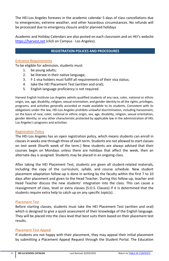The HEI-Los Angeles foresees in the academic calendar 5 days of class cancellations due to emergencies, extreme weather, and other hazardous circumstances. No refunds will be processed due to emergency closure and/or planned holidays

Academic and Holiday Calendars are also posted on each classroom and on HEI's website [https://harvest.net](https://harvest.net/los-angeles-students/) (click on Campus - Los Angeles).

# **REGISTRATION POLICES AND PROCEDURES**

# <span id="page-9-1"></span><span id="page-9-0"></span>Entrance Requirements

To be eligible for admission, students must:

- 1. be young adults;
- 2. be literate in their native language;
- 3. F-1 visa holders must fulfill all requirements of their visa status;
- 4. take the HEI Placement Test (written and oral);
- 5. English language proficiency is not required.

Harvest English Institute Los Angeles admits qualified students of any race, color, national or ethnic origin, sex, age, disability, religion, sexual orientation, and gender identity to all the rights, privileges, programs, and activities generally accorded or made available to its students. Consistent with its obligations under the law, HEI-Los Angeles prohibits unlawful discrimination, including harassment, on the basis of race, color, national or ethnic origin, sex, age, disability, religion, sexual orientation, gender identity, or any other characteristic protected by applicable law in the administration of HEL Los Angeles's programs and activities.

# <span id="page-9-2"></span>Registration Policy

The HEI-Los Angeles has an open registration policy, which means students can enroll in classes in weeks one through three of each term. Students are not allowed to start classes on test week (fourth week of the term.) New students are always advised that their courses begin on Mondays unless there are holidays that affect the week, then an alternate day is assigned. Students may be placed in an ongoing class.

After taking the HEI Placement Test, students are given all student-related materials, including the copy of the curriculum, syllabi, and course schedule. New student placement adaptation follow-up is done in writing by the faculty within the first 7 to 10 days after placement and given to the Head Teacher. During this follow-up, teacher and Head Teacher discuss the new students' integration into the class. This can cause a reassignment of class, level or extra classes (S.O.S. Classes) if it is determined that the students require extra help to catch up on any specific topic(s).

#### <span id="page-9-3"></span>Placement Test

Before starting classes, students must take the HEI Placement Test (written and oral) which is designed to give a quick assessment of their knowledge of the English language. They will be placed into the class level that best suits them based on their placement test results.

# <span id="page-9-4"></span>Placement Test Appeal

If students are not happy with their placement, they may appeal their initial placement by submitting a Placement Appeal Request through the Student Portal. The Education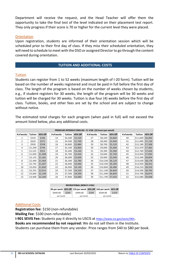Department will receive the request, and the Head Teacher will offer them the opportunity to take the final test of the level indicated on their placement test report. They only progress if their score is 70 or higher for the current level they were placed.

#### <span id="page-10-0"></span>**Orientation**

Upon registration, students are informed of their orientation session which will be scheduled prior to their first day of class. If they miss their scheduled orientation, they will need to schedule to meet with the DSO or assigned Director to go through the content covered during orientation.

#### **TUITION AND ADDITIONAL COSTS**

#### <span id="page-10-2"></span><span id="page-10-1"></span>**Tuition**

Students can register from 1 to 52 weeks (maximum length of I-20 form). Tuition will be based on the number of weeks registered and must be paid in full before the first day of class. The length of the program is based on the number of weeks chosen by students, e.g., if student registers for 30 weeks, the length of the program will be 30 weeks and tuition will be charged for 30 weeks. Tuition is due four (4) weeks before the first day of class. Tuition, books, and other fees are set by the school and are subject to change without notice.

The estimated total charges for each program (when paid in full) will not exceed the amount listed below, plus any additional costs.

| PREMIUM INTENSIVE ENGLISH - F1 VISA (18 hours per week) |                |         |            |                |         |  |            |                |         |            |                  |         |
|---------------------------------------------------------|----------------|---------|------------|----------------|---------|--|------------|----------------|---------|------------|------------------|---------|
| # of weeks                                              | <b>Tuition</b> | 40% Off | # of weeks | <b>Tuition</b> | 40% Off |  | # of weeks | <b>Tuition</b> | 40% Off | # of weeks | Tuition          | 40% Off |
| $\mathbf{1}$                                            | \$310          | \$186   | 14         | \$4,200        | \$2,520 |  | 27         | \$8,100        | \$4,860 | 40         | \$11,600 \$6,960 |         |
| $\overline{2}$                                          | \$620          | \$372   | 15         | \$4,500        | \$2,700 |  | 28         | \$8,400        | \$5,040 | 41         | \$11,890 \$7,134 |         |
| 3                                                       | \$930          | \$558   | 16         | \$4,800        | \$2,880 |  | 29         | \$8,700        | \$5,220 | 42         | \$12,180 \$7,308 |         |
| 4                                                       | \$1,240        | \$744   | 17         | \$5,100        | \$3,060 |  | 30         | \$9,000        | \$5,400 | 43         | \$12,470 \$7,482 |         |
| 5                                                       | \$1,525        | \$915   | 18         | \$5,400        | \$3,240 |  | 31         | \$9,300        | \$5,580 | 44         | \$12,760 \$7,656 |         |
| 6                                                       | \$1,830        | \$1,098 | 19         | \$5,700        | \$3,420 |  | 32         | \$9,600        | \$5,760 | 45         | \$13,050 \$7,830 |         |
| $\overline{7}$                                          | \$2,135        | \$1,281 | 20         | \$6,000        | \$3,600 |  | 33         | \$9,900        | \$5,940 | 46         | \$13,340 \$8,004 |         |
| 8                                                       | \$2,440        | \$1,464 | 21         | \$6,300        | \$3,780 |  | 34         | \$10,200       | \$6,120 | 47         | \$13,630 \$8,178 |         |
| 9                                                       | \$2,745        | \$1,647 | 22         | \$6,600        | \$3,960 |  | 35         | \$10,500       | \$6,300 | 48         | \$13,920 \$8,352 |         |
| 10                                                      | \$3,050        | \$1,830 | 23         | \$6,900        | \$4,140 |  | 36         | \$10,800       | \$6,480 | 49         | \$14,210 \$8,526 |         |
| 11                                                      | \$3,355        | \$2,013 | 24         | \$7,200        | \$4,320 |  | 37         | \$11,100       | \$6,660 | 50         | \$14,500 \$8,700 |         |
| 12                                                      | \$3,660        | \$2,196 | 25         | \$7,500        | \$4,500 |  | 38         | \$11,400       | \$6,840 | 51         | \$14,790 \$8,874 |         |
| 13                                                      | \$3,900        | \$2,340 | 26         | \$7,800        | \$4,680 |  | 39         | \$11,700       | \$7,020 | 52         | \$15,080 \$9,048 |         |

| <b>RECREATIONAL (NON-F1 VISA)</b> |       |                                                               |       |          |       |  |
|-----------------------------------|-------|---------------------------------------------------------------|-------|----------|-------|--|
|                                   |       | 8h per week 40% Off 12h per week 40% Off 16h per week 40% Off |       |          |       |  |
| \$449.00                          | \$269 | \$499.00                                                      | \$299 | \$549.00 | \$329 |  |
| per month                         |       | per month<br>per month                                        |       |          |       |  |

#### <span id="page-10-3"></span>Additional Costs

**Registration fee**: \$150 (non-refundable) **Mailing Fee**: \$100 (non-refundable) **I-901 SEVIS Fee:** Students pay it directly to USCIS at <https://www.ice.gov/sevis/i901>. **Books are recommended by not required:** We do not sell them in the Institute.

Students can purchase them from any vendor. Price ranges from \$40 to \$80 per book.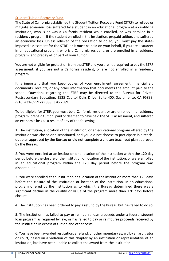#### <span id="page-11-0"></span>Student Tuition Recovery Fund

The State of California established the Student Tuition Recovery Fund (STRF) to relieve or mitigate economic loss suffered by a student in an educational program at a qualifying institution, who is or was a California resident while enrolled, or was enrolled in a residency program, if the student enrolled in the institution, prepaid tuition, and suffered an economic loss. Unless relieved of the obligation to do so, you must pay the stateimposed assessment for the STRF, or it must be paid on your behalf, if you are a student in an educational program, who is a California resident, or are enrolled in a residency program, and prepay all or part of your tuition.

You are not eligible for protection from the STRF and you are not required to pay the STRF assessment, if you are not a California resident, or are not enrolled in a residency program.

It is important that you keep copies of your enrollment agreement, financial aid documents, receipts, or any other information that documents the amount paid to the school. Questions regarding the STRF may be directed to the Bureau for Private Postsecondary Education, 2535 Capitol Oaks Drive, Suite 400, Sacramento, CA 95833, (916) 431-6959 or (888) 370-7589.

To be eligible for STRF, you must be a California resident or are enrolled in a residency program, prepaid tuition, paid or deemed to have paid the STRF assessment, and suffered an economic loss as a result of any of the following:

1. The institution, a location of the institution, or an educational program offered by the institution was closed or discontinued, and you did not choose to participate in a teachout plan approved by the Bureau or did not complete a chosen teach-out plan approved by the Bureau.

2. You were enrolled at an institution or a location of the institution within the 120 day period before the closure of the institution or location of the institution, or were enrolled in an educational program within the 120 day period before the program was discontinued.

3. You were enrolled at an institution or a location of the institution more than 120 days before the closure of the institution or location of the institution, in an educational program offered by the institution as to which the Bureau determined there was a significant decline in the quality or value of the program more than 120 days before closure.

4. The institution has been ordered to pay a refund by the Bureau but has failed to do so.

5. The institution has failed to pay or reimburse loan proceeds under a federal student loan program as required by law, or has failed to pay or reimburse proceeds received by the institution in excess of tuition and other costs.

6. You have been awarded restitution, a refund, or other monetary award by an arbitrator or court, based on a violation of this chapter by an institution or representative of an institution, but have been unable to collect the award from the institution.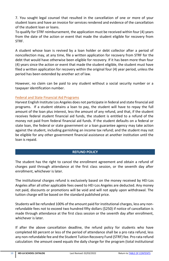7. You sought legal counsel that resulted in the cancellation of one or more of your student loans and have an invoice for services rendered and evidence of the cancellation of the student loan or loans.

To qualify for STRF reimbursement, the application must be received within four (4) years from the date of the action or event that made the student eligible for recovery from STRF.

A student whose loan is revived by a loan holder or debt collector after a period of noncollection may, at any time, file a written application for recovery from STRF for the debt that would have otherwise been eligible for recovery. If it has been more than four (4) years since the action or event that made the student eligible, the student must have filed a written application for recovery within the original four (4) year period, unless the period has been extended by another act of law.

However, no claim can be paid to any student without a social security number or a taxpayer identification number.

# <span id="page-12-0"></span>Federal and State Financial Aid Programs

Harvest English Institute Los Angeles does not participate in federal and state financial aid programs. If a student obtains a loan to pay, the student will have to repay the full amount of the loan plus interest, less the amount of any refund, and that, if the student receives federal student financial aid funds, the student is entitled to a refund of the money not paid from federal financial aid funds. If the student defaults on a federal or state loan, the federal or state government or a loan guarantee agency may take action against the student, including garnishing an income tax refund; and the student may not be eligible for any other government financial assistance at another institution until the loan is repaid.

# **REFUND POLICY**

<span id="page-12-1"></span>The student has the right to cancel the enrollment agreement and obtain a refund of charges paid through attendance at the first class session, or the seventh day after enrollment, whichever is later.

The institutional charges refund is exclusively based on the money received by HEI-Los Angeles after all other applicable fees owed to HEI-Los Angeles are deducted. Any money not paid, discounts or promotions will be void and will not apply upon withdrawal. The tuition charge will be based on the standard published price.

Students will be refunded 100% of the amount paid for institutional charges, less any nonrefundable fees not to exceed two hundred fifty dollars (\$250) if notice of cancellation is made through attendance at the first class session or the seventh day after enrollment, whichever is later.

If after the above cancellation deadline, the refund policy for students who have completed 60 percent or less of the period of attendance shall be a pro rata refund, less any non-refundable fee and the Student Tuition Recovery Fund (STRF) fee. Pro rata refund calculation: the amount owed equals the daily charge for the program (total institutional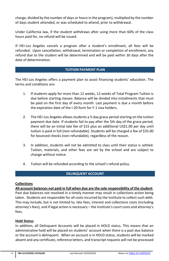charge, divided by the number of days or hours in the program), multiplied by the number of days student attended, or was scheduled to attend, prior to withdrawal.

Under California law, if the student withdraws after using more than 60% of the class hours paid for, no refund will be issued.

If HEI-Los Angeles cancels a program after a student's enrollment, all fees will be refunded. Upon cancellation, withdrawal, termination or completion of enrollment, any refund due to the student will be determined and will be paid within 30 days after the date of determination.

#### **TUITION PAYMENT PLAN**

<span id="page-13-0"></span>The HEI-Los Angeles offers a payment plan to assist financing students' education. The terms and conditions are:

- 1. If students apply for more than 12 weeks, 12 weeks of Total Program Tuition is due before starting classes. Balance will be divided into installments that must be paid on the first day of every month. Last payment is due a month before the expiration date of the I-20 form for F-1 visa holders.
- 2. The HEI-Los Angeles allows students a 5-day grace period starting on the tuition payment due date. If students fail to pay after the 5th day of the grace period, there will be an initial late fee of \$15 plus an additional US\$1.00 per day until tuition is paid in full (non-refundable). Students will be charged a fee of \$35.00 for bounced checks (non-refundable), regardless of the reason.
- 3. In addition, students will not be admitted to class until their status is settled. Tuition, materials, and other fees are set by the school and are subject to change without notice.
- 4. Tuition will be refunded according to the school's refund policy.

#### **DELINQUENT ACCOUNT**

#### <span id="page-13-1"></span>**Collections**

**All account balances not paid in full when due are the sole responsibility of the student**.

Past due balances not resolved in a timely manner may result in collections action being taken. Students are responsible for all costs incurred by the Institute to collect such debt. This may include, but is not limited to, late fees, interest and collections costs (including attorney's fees), and if legal action is necessary – the Institute's court costs and attorney's fees.

#### **Hold Status**

In addition, all Delinquent Accounts will be placed in HOLD status. This means that an administrative hold will be placed on students' account when there is a past due balance or the account is delinquent. When an account is in HOLD status, students will be marked absent and any certificate, reference letters, and transcript requests will not be processed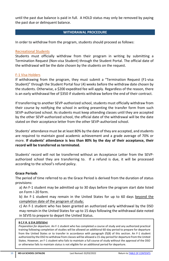until the past due balance is paid in full. A HOLD status may only be removed by paying the past due or delinquent balance.

#### **WITHDRAWAL PROCEDURE**

<span id="page-14-0"></span>In order to withdraw from the program, students should proceed as follows:

#### <span id="page-14-1"></span>Recreational Students

Students must officially withdraw from their program in writing by submitting a Termination Request (Non-visa Student) through the Student Portal. The official date of the withdrawal will be the date chosen by the students on the request.

#### <span id="page-14-2"></span>F-1 Visa Holders

If withdrawing from the program, they must submit a "Termination Request (F1-visa Student)" through the Student Portal four (4) weeks before the withdraw date chosen by the students. Otherwise, a \$200 expedited fee will apply. Regardless of the reason, there is an early withdrawal fee of \$350 if students withdraw before the end of their contract.

If transferring to another SEVP-authorized school, students must officially withdraw from their course by notifying the school in writing presenting the transfer form from such SEVP-authorized school. As students must keep attending classes until they are accepted by the other SEVP-authorized school, the official date of the withdrawal will be the date stated on their acceptance letter from the other SEVP-authorized school.

Students' attendance must be at least 80% by the date of they are accepted, and students are required to maintain good academic achievement and a grade average of 70% or more. **If students' attendance is less than 80% by the day of their acceptance, their record will be transferred as terminated.**

Students' record will not be transferred without an Acceptance Letter from the SEVPauthorized school they are transferring to. If a refund is due, it will be processed according to the school's refund policy.

#### **Grace Periods**

The period of time referred to as the Grace Period is derived from the duration of status provisions:

a) An F-1 student may be admitted up to 30 days before the program start date listed on Form I-20 form.

b) An F-1 student may remain in the United States for up to 60 days beyond the completion date of the program of study;

c) An F-1 student who has been granted an authorized early withdrawal by the DSO may remain in the United States for up to 15 days following the withdrawal date noted in SEVIS to prepare to depart the United Status.

#### **8 C.F.R. § [214.2\(f\)\(5\)\(iv\)](http://www.nafsa.org/_/file/_/amresource/8cfr2142f.htm#2142f5iv)**

*Preparation for departure.* An F-1 student who has completed a course of study and any authorized practical training following completion of studies will be allowed an additional 60-day period to prepare for departure from the United States or to transfer in accordance with paragraph (f)(8) of this section. An F-1 student authorized by the DSO to withdraw from classes will be allowed a 15-day period for departure from the United States. However, an F-1 student who fails to maintain a full course of study without the approval of the DSO or otherwise fails to maintain status is not eligible for an additional period for departure.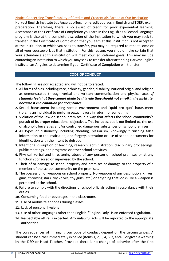# <span id="page-15-0"></span>Notice Concerning Transferability of Credits and Credentials Earned at Our Institution

Harvest English Institute Los Angeles offers non-credit courses in English and TOEFL exam preparation. Therefore, there is no award of credit for prior experiential learning. Acceptance of the Certificate of Completion you earn in the English as a Second Language program is also at the complete discretion of the institution to which you may seek to transfer. If the Certificate of Completion that you earn at this institution is not accepted at the institution to which you seek to transfer, you may be required to repeat some or all of your coursework at that institution. For this reason, you should make certain that your attendance at this institution will meet your educational goals. This may include contacting an institution to which you may seek to transfer after attending Harvest English Institute Los Angeles to determine if your Certificate of Completion will transfer.

# **CODE OF CONDUCT**

<span id="page-15-1"></span>The following are *not* accepted and will not be tolerated:

- *1.* All forms of bias including race, ethnicity, gender, disability, national origin, and religion as demonstrated through verbal and written communication and physical acts. *If studentsfeel that they cannot abide by this rule they should not enroll in the Institute, because it is a condition for acceptance.*
- **2.** Sexual harassment including hostile environment and "quid pro quo" harassment (forcing an individual to perform sexual favors in return for something).
- **3.** Violation of the law on school premises in a way that affects the school community's pursuit of its proper educational objectives. This includes, but is not limited to, the use of alcoholic beverages and/or controlled dangerous substances on school premises.
- **4.** All types of dishonesty including cheating, plagiarism, knowingly furnishing false information to the institution, and forgery, alteration or use of school documents for identification with the intent to defraud.
- **5.** Intentional disruption of teaching, research, administration, disciplinary proceedings, public meetings, and programs or other school activities.
- **6.** Physical, verbal and threatening abuse of any person on school premises or at any function sponsored or supervised by the school.
- **7.** Theft of or damage to school property and premises or damage to the property of a member of the school community on the premises.
- **8.** The possession of weapons on school property. No weapons of any description (knives, guns, throwing stars, toy knives, toy guns, etc.) or anything that looks like a weapon is permitted at the school.
- **9.** Failure to comply with the directions of school officials acting in accordance with their duties.
- **10.** Consuming food or beverages in the classrooms.
- **11.** Use of mobile telephones during classes.
- **12.** Lack of personal hygiene.
- **13.** Use of other languages other than English. "English Only" is an enforced regulation.
- **14.** Respectable attire is expected. Any unlawful acts will be reported to the appropriate authorities.

The consequences of infringing our code of conduct depend on the circumstances. A student can be either immediately expelled (items 1, 2, 3, 4, 6, 7, and 8) or given a warning by the DSO or Head Teacher. Provided there is no change of behavior after the first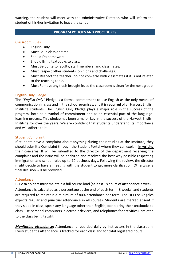warning, the student will meet with the Administrative Director, who will inform the student of his/her invitation to leave the school.

# **PROGRAM POLICIES AND PROCEDURES**

# <span id="page-16-1"></span><span id="page-16-0"></span>Classroom Rules

- English Only.
- Must Be in class on time.
- Should Do homework.
- Should Bring textbooks to class.
- Must Be polite to faculty, staff members, and classmates.
- Must Respect other students' opinions and challenges.
- Must Respect the teacher: do not converse with classmates if it is not related to the teaching topic.
- Must Remove any trash brought in, so the classroom is clean for the next group.

#### <span id="page-16-2"></span>English-Only Pledge

The *"English-Only"* Pledge is a formal commitment to use English as the only means of communication in class and in the school premises, and it is **required** of all Harvest English Institute students. The English Only Pledge plays a major role in the success of the program, both as a symbol of commitment and as an essential part of the languagelearning process. This pledge has been a major key in the success of the Harvest English Institute for over the years. We are confident that students understand its importance and will adhere to it.

#### <span id="page-16-3"></span>Student Complaint

If students have a complaint about anything during their studies at the institute, they should submit a Complaint through the Student Portal where they can explain **in writing** their concerns. It will be submitted to the director of the department receiving the complaint and the issue will be analyzed and resolved the best way possible respecting immigration and school rules up to 10 business days. Following the review, the director might decide to have a meeting with the student to get more clarification. Otherwise, a final decision will be provided.

#### <span id="page-16-4"></span>**Attendance**

F-1 visa holders must maintain a full course-load (at least 18 hours of attendance a week.) Attendance is calculated as a percentage at the end of each term (8 weeks) and students are required to maintain a minimum of 80% attendance per term. The HEI-Los Angeles expects regular and punctual attendance in all courses. Students are marked absent if they sleep in class, speak any language other than English, don't bring their textbooks to class, use personal computers, electronic devices, and telephones for activities unrelated to the class being taught.

*Monitoring attendance:* Attendance is recorded daily by instructors in the classroom. Every student's attendance is tracked for each class and for total registered hours.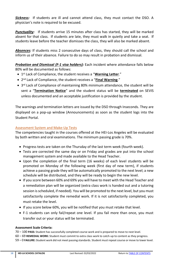*Sickness:* If students are ill and cannot attend class, they must contact the DSO. A physician's note is required to be excused.

*Punctuality:* If students arrive 15 minutes after class has started, they will be marked absent for that class. If students are late, they must walk in quietly and take a seat. If students leave before the teacher dismisses the class, they will also be marked absent.

*Absences:* If students miss 2 consecutive days of class, they should call the school and inform us of their absence. Failure to do so may result in probation and dismissal.

*Probation and Dismissal (F-1 visa holders):* Each incident where attendance falls below 80% will be documented as follows:

- **•** 1<sup>st</sup> Lack of Compliance, the student receives a "*Warning Letter.*"
- 2 nd Lack of Compliance, the student receives a "**Final Warning**."
- 3<sup>rd</sup> Lack of Compliance of maintaining 80% minimum attendance, the student will be sent a "**Termination Notice**" and the student status will be **terminated** on SEVIS unless documented and an acceptable justification is provided by the student.

The warnings and termination letters are issued by the DSO through Inseconds. They are displayed on a pop-up window (Announcements) as soon as the student logs into the Student Portal.

# <span id="page-17-0"></span>Assessment System and Make-Up Tests

The competencies taught in the courses offered at the HEI-Los Angeles will be evaluated by both written and oral examinations. The minimum passing grade is 70%.

- Progress tests are taken on the Thursday of the last term week (fourth week).
- Tests are corrected the same day or on Friday and grades are put into the school management system and made available to the Head Teacher.
- Upon the completion of the final term (16 weeks) of each level students will be promoted on Monday of the following week (first day of new term), if students achieve a passing grade they will be automatically promoted to the next level; a new schedule will be distributed, and they will be ready to begin the new level.
- If you score between 60% and 69% you will have to meet with the Head Teacher and a remediation plan will be organized (extra class work is handed out and a tutoring session is scheduled, if needed). You will be promoted to the next level, but you must satisfactorily complete the remedial work. If it is not satisfactorily completed, you must retake the level.
- If you score below 60%, you will be notified that you must retake that level.
- F-1 students can only fail/repeat one level. If you fail more than once, you must transfer out or your status will be terminated.

#### **Assessment Scale Criteria:**

70 – 100 **PASS:** Student has successfully completed course work and is prepared to move to next level.

- 60 69 **REMEDIAL WORK:** Student must commit to extra class work to catch-up to content as they progress.
- 59 0 **FAILURE:** Student work did not meet passing standards. Student must repeat course or move to lower level.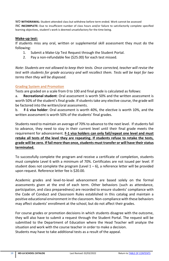WD **WITHDRAWAL:** Student attended class but withdrew before term ended. Work cannot be assessed INC **INCOMPLETE:** Due to insufficient number of class hours and/or failure to satisfactorily complete specified learning objectives, student's work is deemed unsatisfactory for the time being.

# **Make-up test:**

If students miss any oral, written or supplemental skill assessment they must do the following:

- 1. Submit a Make-Up Test Request through the Student Portal.
- 2. Pay a non-refundable fee (\$25.00) for each test missed.

*Note: Students are not allowed to keep their tests. Once corrected, teacher will revise the test with students for grade accuracy and will recollect them. Tests will be kept for two terms then they will be disposed*.

# <span id="page-18-0"></span>Grading System and Promotion

Tests are graded on a scale from 0 to 100 and final grade is calculated as follows:

a. **Recreational student**: Oral assessment is worth 50% and the written assessment is worth 50% of the student's final grade. If students take any elective course, the grade will be factored into the written/oral assessments.

b. **F-1 visa holder**: Oral assessment is worth 40%, the elective is worth 10%, and the written assessment is worth 50% of the students' final grades.

Students need to maintain an average of 70% to advance to the next level. If students fail to advance, they need to stay in their current level until their final grade meets the requirement for advancement. **F-1 visa holders can only fail/repeat one level and must retake all tests of the level they are repeating. If students refuse to retake the tests, grade will be zero. If fail more than once, students must transfer or will have theirstatus terminated.** 

To successfully complete the program and receive a certificate of completion, students must complete Level 6 with a minimum of 70%. Certificates are not issued per level. If student does not complete the program (Level  $1 - 6$ ), a reference letter will be provided upon request. Reference letter fee is \$20.00.

Academic grades and level-to-level advancement are based solely on the formal assessments given at the end of each term. Other behaviors (such as attendance, participation, and class preparedness) are recorded to ensure students' compliance with the Code of Conduct and Classroom Rules established in this catalog and maintain a positive educational environment in the classroom. Non-compliance with these behaviors may affect students' enrollment at the school, but do not affect their grades.

For course grades or promotion decisions in which students disagree with the outcome, they will also have to submit a request through the Student Portal. The request will be submitted to the Department of Education where the Head Teacher will analyze the situation and work with the course teacher in order to make a decision. Students may have to take additional tests as a result of the appeal.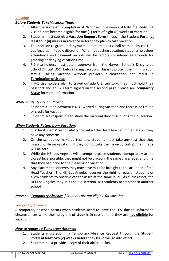# <span id="page-19-0"></span>Vacation

# *Before Students Take Vacation Time:*

- 1. After the successful completion of 26 consecutive weeks of full-time study, F-1 visa holders become eligible for one (1) term of eight (8) weeks of vacation.
- 2. Students must submit a **Vacation Request Form** through the Student Portal **at least four (4) weeks in advance** before they plan to take vacation.
- 3. The decision to grant or deny vacation time requests shall be made by the HEI-Los Angeles in its sole discretion. When requesting vacation, students' previous attendance and payment records will be factors considered as grounds for granting or denying vacation time.
- 4. F-1 visa holders must obtain approval from the Harvest School's Designated School Official (DSO) before taking vacation. This is to protect their immigration status. Taking vacation without previous authorization can result in **Termination of Status**.
- 5. If F-1 visa holders plan to travel outside U.S. territory, they must hold their passport and an I-20 form signed on the second page. Please see *Temporary Leave* for more information.

# *While Students are on Vacation:*

- 1. Students' tuition payment is NOT waived during vacation and there is no refund or credit for vacation.
- 2. Students are responsible to study the material they miss during their vacation.

#### *When Students Return from Vacation:*

- 1. It is the students' responsibility to contact the Head Teacher immediately if they have any concerns.
- 2. On the scheduled make-up test day, students must take any test that they missed while on vacation. If they do not take the make-up test(s), their grade will be zero.
- 3. While the HEI-Los Angeles will attempt to place students appropriately at the closest level possible, they might not be placed in the same class, level, and time that they had prior to their leaving on vacation.
- 4. Any placement concerns they may have must be brought to the attention of the Head Teacher. The HEI-Los Angeles reserves the right to reassign students or allow students to observe other classes at the same level. As a last resort, the HEI-Los Angeles may in its sole discretion, ask students to transfer to another school.

# *Note: See Temporary Absence if Students are not eligible for vacation.*

# <span id="page-19-1"></span>Temporary Absence

A temporary absence occurs when students need to leave the U.S. due to unforeseen circumstances while their program of study is in session, and they are **not eligible** for vacation.

# *How to request a Temporary Absence:*

- 1. Students must submit a Temporary Absence Request through the Student Portal **at least two (2) weeks before** they leave will go into effect.
- 2. Students must provide a copy of their airfare ticket.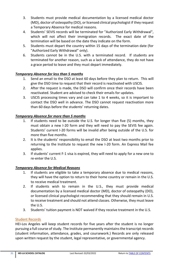- 3. Students must provide medical documentation by a licensed medical doctor (MD), doctor of osteopathy (DO), or licensed clinical psychologist if they request a Temporary Absence for medical reasons.
- 4. Students' SEVIS records will be terminated for "Authorized Early Withdrawal", which will not affect their immigration records. The exact date of the termination will be based on the date they indicate on the form.
- 5. Students must depart the country within 15 days of the termination date (for "Authorized Early Withdrawal" only).
- 6. Students cannot be in the U.S. with a terminated record. If students are terminated for another reason, such as a lack of attendance, they do not have a grace period to leave and they must depart immediately.

# *Temporary Absence for less than 5 months*

- 1. Send an email to the DSO at least 60 days before they plan to return. This will give the DSO time to request that their record is reactivated with USCIS.
- 2. After the request is made, the DSO will confirm once their records have been reactivated. Student are advised to check their emails for updates.
- 3. USCIS processing times vary and can take 1 to 4 weeks, so it is important to contact the DSO well in advance. The DSO cannot request reactivation more than 60 days before the students' returning dates.

# *Temporary Absence for more than 5 months*

- 1. If students need to be outside the U.S. for longer than five (5) months, they must obtain a new I-20 form and they will need to pay the SEVIS fee again. Students' current I-20 forms will be invalid after being outside of the U.S. for more than five months.
- 2. It is the students' responsibility to email the DSO at least two months prior to returning to the Institute to request the new I-20 form. An Express Mail fee applies.
- 3. If students' current F-1 visa is expired, they will need to apply for a new one to re-enter the U.S.

# *Temporary Absence for Medical Reasons*

- 1. If students are eligible to take a temporary absence due to medical reasons, they will have the option to return to their home country or remain in the U.S. to receive medical treatment.
- 2. If students wish to remain in the U.S., they must provide medical documentation by a licensed medical doctor (MD), doctor of osteopathy (DO), or licensed clinical psychologist recommending that they should remain in U.S. to receive treatment and should not attend classes. Otherwise, they must leave the U.S.
- 3. Students' tuition payment is NOT waived if they receive treatment in the U.S.

#### <span id="page-20-0"></span>Student Records

HEI-Los Angeles will keep student records for five years after the student is no longer pursuing a full course of study. The Institute permanently maintainsthe transcript records (student information, attendance, grades, and coursework.) Records are only released upon written request by the student, legal representative, or governmental agency.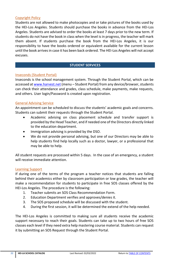#### <span id="page-21-0"></span>Copyright Policy

Students are not allowed to make photocopies and or take pictures of the books used by the HEI-Los Angeles. Students should purchase the books in advance from the HEI-Los Angeles. Students are advised to order the books at least 7 days prior to the new term. If students do not have the book in class when the level is in progress, the teacher will mark them absent. If students purchase the book from the HEI-Los Angeles, it is our responsibility to have the books ordered or equivalent available for the current lesson until the book arrives in case it has been back ordered. The HEI-Los Angeles will not accept excuses.

# **STUDENT SERVICES**

#### <span id="page-21-2"></span><span id="page-21-1"></span>Inseconds (Student Portal)

Inseconds is the school management system. Through the Student Portal, which can be accessed a[t www.harvest.net](http://www.harvest.net/) (menu – Student Portal) from any device/browser, students can check their attendance and grades, class schedule, make payments, make requests, and others. User login/Password is created upon registration.

#### <span id="page-21-3"></span>General Advising Service

An appointment can be scheduled to discuss the students' academic goals and concerns. Students can submit their requests through the Student Portal.

- Academic advising on class placement schedule and transfer support is provided by the Head Teacher, and if needed one of the Directors directly linked to the education department.
- Immigration advising is provided by the DSO.
- We do not provide personal advising, but one of our Directors may be able to help students find help locally such as a doctor, lawyer, or a professional that may be able to help.

All student requests are processed within 5 days. In the case of an emergency, a student will receive immediate attention.

#### <span id="page-21-4"></span>Learning Support

If during one of the terms of the program a teacher notices that students are falling behind their academics either by classroom participation or low grades, the teacher will make a recommendation for students to participate in free SOS classes offered by the HEI-Los Angeles. The procedure is the following:

- 1. Teacher submits an SOS Class Recommendation Form.
- 2. Education Department verifies and approves/denies it.
- 3. The SOS proposed schedule will be discussed with the student.
- 4. During the first session, it will be determined the extend of the help needed.

The HEI-Los Angeles is committed to making sure all students receive the academic support necessary to reach their goals. Students can take up to two hours of free SOS classes each level if they need extra help mastering course material. Students can request it by submitting an SOS Request through the Student Portal.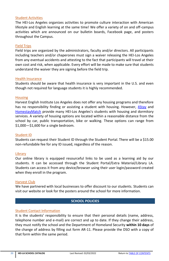#### <span id="page-22-0"></span>Student Activities

The HEI-Los Angeles organizes activities to promote culture interaction with American lifestyle and English learning at the same time! We offer a variety of on and off-campus activities which are announced on our bulletin boards, Facebook page, and posters throughout the Campus.

#### <span id="page-22-1"></span>Field Trips

Field trips are organized by the administrators, faculty and/or directors. All participants including teachers and/or chaperones must sign a waiver releasing the HEI-Los Angeles from any eventual accidents and attesting to the fact that participants will travel at their own cost and risk, when applicable. Every effort will be made to make sure that students understand the waiver they are signing before the field trip.

#### <span id="page-22-2"></span>Health Insurance

Students should be aware that health insurance is very important in the U.S. and even though not required for language students it is highly recommended.

#### <span id="page-22-3"></span>**Housing**

Harvest English Institute Los Angeles does not offer any housing programs and therefore has no responsibility finding or assisting a student with housing. However, [4Stay](https://4stay.com/) and [HomestayMatch](/Users/christianpires/Dropbox/VP_Folder/Manuals/Catalog/LA/homestaymatch.com) provide many HEI-Los Angeles's students with housing and dormitory services. A variety of housing options are located within a reasonable distance from the school by car, public transportation, bike or walking. These options can range from \$1,000—\$1,600 for a single bedroom.

#### <span id="page-22-4"></span>Student ID

Students can request their Student ID through the Student Portal. There will be a \$15.00 non-refundable fee for any ID issued, regardless of the reason.

#### <span id="page-22-5"></span>**Library**

Our online library is equipped resourceful links to be used as a learning aid by our students. It can be accessed through the Student Portal/Extra Material/Library LA. Students can access it from any device/browser using their user login/password created when they enroll in the program.

#### <span id="page-22-6"></span>Harvest Club

We have partnered with local businesses to offer discount to our students. Students can visit our website or look for the posters around the school for more information.

#### **SCHOOL POLICIES**

#### <span id="page-22-8"></span><span id="page-22-7"></span>Student Contact Information

It is the students' responsibility to ensure that their personal details (name, address, telephone number and e-mail) are correct and up to date. If they change their address, they must notify the school and the Department of Homeland Security **within 10 days** of the change of address by filling out form AR-11. Please provide the DSO with a copy of that form within the same period.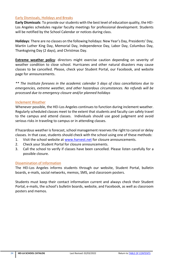# <span id="page-23-0"></span>Early Dismissals, Holidays and Breaks

**Early Dismissals**: To provide our students with the best level of education quality, the HEI-Los Angeles schedules regular faculty meetings for professional development. Students will be notified by the School Calendar or notices during class.

**Holidays**: There are no classes on the following holidays: New Year's Day, Presidents' Day, Martin Luther King Day, Memorial Day, Independence Day, Labor Day, Columbus Day, Thanksgiving Day (2 days), and Christmas Day.

**Extreme weather policy**: directors might exercise caution depending on severity of weather condition to close school. Hurricanes and other natural disasters may cause classes to be cancelled. Please, check your Student Portal, our Facebook, and website page for announcements.

*\*\* The Institute foresees in the academic calendar 5 days of class cancellations due to emergencies, extreme weather, and other hazardous circumstances. No refunds will be processed due to emergency closure and/or planned holidays*

#### <span id="page-23-1"></span>Inclement Weather

Whenever possible, the HEI-Los Angeles continues to function during inclement weather. Regularly scheduled classes meet to the extent that students and faculty can safely travel to the campus and attend classes. Individuals should use good judgment and avoid serious risks in traveling to campus or in attending classes.

If hazardous weather is forecast, school management reserves the right to cancel or delay classes. In that case, students should check with the school using one of these methods:

- 1. Visit the school website at [www.harvest.net](file:///C:/Users/Christian/Desktop/www.harvest.net) for closure announcements.
- 2. Check your Student Portal for closure announcements.
- 3. Call the school to verify if classes have been cancelled. Please listen carefully for a possible closure.

#### <span id="page-23-2"></span>Dissemination of Information

The HEI-Los Angeles informs students through our website, Student Portal, bulletin boards, e-mails, social networks, memos, SMS, and classroom posters.

Students must keep their contact information current and always check their Student Portal, e-mails, the school's bulletin boards, website, and Facebook, as well as classroom posters and memos.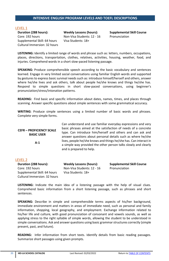#### **INTENSIVE ENGLISH PROGRAM LEVELS AND TOEFL DESCRIPTIONS**

#### <span id="page-24-1"></span><span id="page-24-0"></span>LEVEL 1

**Duration (288 hours):**  Core: 192 hours Supplemental Skill: 64 hours Cultural Immersion: 32 hours **Weekly Lessons (hours):** Non-Visa Students: 12 - 16 Visa Students: 18+

**Supplemental Skill Course** Pronunciation

**LISTENING:** Identify a limited range of words and phrase such as: letters, numbers, occupations, places, directions, transportation, clothes, relatives, activities, housing, weather, food, and injuries. Comprehend words in a short slow-paced listening passage.

**SPEAKING:** Produce comprehensible speech according to the basic vocabulary and sentences learned. Engage in very limited social conversations using familiar English words and supported by gestures to express basic survival needs such as: introduce himself/herself and others, answer where he/she lives and ask others, talk about people he/she knows and things he/she has. Respond to simple questions in short slow-paced conversations, using beginner's pronunciation/stress/intonation patterns.

**READING:** Find basic and specific information about dates, names, times, and places through scanning. Answer specific questions about simple sentences with some grammatical accuracy.

**WRITING**: Produce simple sentences using a limited number of basic words and phrases. Complete very simple forms.

| <b>CEFR - PROFICIENCY SCALE</b><br><b>BASIC USER</b> | Can understand and use familiar everyday expressions and very<br>basic phrases aimed at the satisfaction of needs of a concrete<br>type. Can introduce him/herself and others and can ask and<br>answer questions about personal details such as where he/she |
|------------------------------------------------------|---------------------------------------------------------------------------------------------------------------------------------------------------------------------------------------------------------------------------------------------------------------|
| $A-1$                                                | lives, people he/she knows and things he/she has. Can interact in<br>a simple way provided the other person talks slowly and clearly<br>and is prepared to help.                                                                                              |

<span id="page-24-2"></span>

| LEVEL 2                      |                            |                                  |
|------------------------------|----------------------------|----------------------------------|
| Duration (288 hours):        | Weekly Lessons (hours):    | <b>Supplemental Skill Course</b> |
| Core: 192 hours              | Non-Visa Students: 12 - 16 | Pronunciation                    |
| Supplemental Skill: 64 hours | Visa Students: 18+         |                                  |
| Cultural Immersion: 32 hours |                            |                                  |

**LISTENING:** Indicate the main idea of a listening passage with the help of visual clues. Comprehend basic information from a short listening passage, such as phrases and short sentences.

**SPEAKING:** Describe in simple and comprehensible terms aspects of his/her background, immediate environment and matters in areas of immediate need, such as personal and family information, shopping, local geography, and employment. Exchange information related to his/her life and culture, with good pronunciation of consonant and vowels sounds, as well as applying stress to the right syllable of simple words, allowing the student to be understood in simple conversations. Ask and answer questions using basic grammar structures correctly (simple present, past, and future).

**READING:** Infer information from short texts. Identify details from basic reading passages. Summarize short passages using given prompts.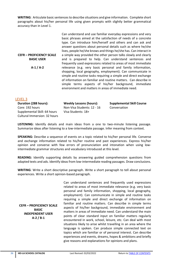**WRITING**: Articulate basic sentences to describe situations and give information. Complete short paragraphs about his/her personal life using given prompts with slightly better grammatical accuracy than in Level 1.

|                                 | Can understand and use familiar everyday expressions and very                                                                                                                                                                                                                                                                                                                   |  |  |  |
|---------------------------------|---------------------------------------------------------------------------------------------------------------------------------------------------------------------------------------------------------------------------------------------------------------------------------------------------------------------------------------------------------------------------------|--|--|--|
|                                 | basic phrases aimed at the satisfaction of needs of a concrete                                                                                                                                                                                                                                                                                                                  |  |  |  |
|                                 | type. Can introduce him/herself and others and can ask and                                                                                                                                                                                                                                                                                                                      |  |  |  |
|                                 | answer questions about personal details such as where he/she                                                                                                                                                                                                                                                                                                                    |  |  |  |
|                                 | lives, people he/she knows and things he/she has. Can interact in                                                                                                                                                                                                                                                                                                               |  |  |  |
| <b>CEFR - PROFICIENCY SCALE</b> | a simple way provided the other person talks slowly and clearly                                                                                                                                                                                                                                                                                                                 |  |  |  |
| <b>BASIC USER</b>               | and is prepared to help. Can understand sentences and                                                                                                                                                                                                                                                                                                                           |  |  |  |
|                                 | frequently used expressions related to areas of most immediate                                                                                                                                                                                                                                                                                                                  |  |  |  |
| $A-1/A-2$                       | relevance (e.g. very basic personal and family information,<br>shopping, local geography, employment). Can communicate in<br>simple and routine tasks requiring a simple and direct exchange<br>of information on familiar and routine matters. Can describe in<br>simple terms aspects of his/her background, immediate<br>environment and matters in areas of immediate need. |  |  |  |

<span id="page-25-0"></span>

| LEVEL 3                                                                         |                                                  |                                  |
|---------------------------------------------------------------------------------|--------------------------------------------------|----------------------------------|
| Duration (288 hours):                                                           | Weekly Lessons (hours):                          | <b>Supplemental Skill Course</b> |
| Core: 192 hours<br>Supplemental Skill: 64 hours<br>Cultural Immersion: 32 hours | Non-Visa Students: 12 - 16<br>Visa Students: 18+ | Conversation                     |

**LISTENING:** Identify details and main ideas from a one to two-minute listening passage. Summarize ideas after listening to a low-intermediate passage. Infer meaning from context.

**SPEAKING:** Describe a sequence of events on a topic related to his/her personal life. Converse and exchange information related to his/her routine and past experiences. Express his/her opinion and converse with few errors of pronunciation and intonation when using lowintermediate grammar structures and vocabulary introduced at this level.

**READING:** Identify supporting details by answering guided comprehension questions from adapted texts and ads. Identify ideas from low-intermediate reading passages. Draw conclusions.

**WRITING**: Write a short descriptive paragraph. Write a short paragraph to tell about personal experiences. Write a short opinion-based paragraph.

**CEFR – PROFICIENCY SCALE BASIC INDEPENDENT USER A-2 / B-1**

Can understand sentences and frequently used expressions related to areas of most immediate relevance (e.g. very basic personal and family information, shopping, local geography, employment). Can communicate in simple and routine tasks requiring a simple and direct exchange of information on familiar and routine matters. Can describe in simple terms aspects of his/her background, immediate environment and matters in areas of immediate need. Can understand the main points of clear standard input on familiar matters regularly encountered in work, school, leisure, etc. Can deal with most situations likely to arise whilst travelling in an area where the language is spoken. Can produce simple connected text on topics which are familiar or of personal interest. Can describe experiences and events, dreams, hopes & ambitions and briefly give reasons and explanations for opinions and plans.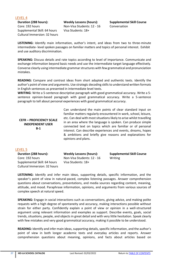<span id="page-26-0"></span>LEVEL 4

**Duration (288 hours):**  Core: 192 hours Supplemental Skill: 64 hours Cultural Immersion: 32 hours **Weekly Lessons (hours):** Non-Visa Students: 12 - 16 Visa Students: 18+

**Supplemental Skill Course** Conversation

**LISTENING:** Identify main information, author's intent, and ideas from two to three-minute intermediate- level spoken passages on familiar matters and topics of personal interest. Exhibit and use auditory discrimination.

**SPEAKING:** Discuss details and rate topics according to level of importance. Communicate and exchange information beyond basic needs and use the intermediate target language effectively. Converse clearly using intermediate grammar structures with few grammatical and pronunciation mistakes.

**READING:** Compare and contrast ideas from short adapted and authentic texts. Identify the author's point of view and arguments. Use strategic decoding skills to understand written formats in English sentences as presented in intermediate level texts.

**WRITING**: Write a 5-sentence descriptive paragraph with good grammatical accuracy. Write a 5 sentence opinion-based paragraph with good grammatical accuracy. Write a 5-sentence paragraph to tell about personal experiences with good grammatical accuracy.

#### **CEFR – PROFICIENCY SCALE INDEPENDENT USER B-1**

Can understand the main points of clear standard input on familiar matters regularly encountered in work, school, leisure, etc. Can deal with most situations likely to arise whilst travelling in an area where the language is spoken. Can produce simple connected text on topics which are familiar or of personal interest. Can describe experiences and events, dreams, hopes & ambitions and briefly give reasons and explanations for opinions and plans.

#### <span id="page-26-1"></span>LEVEL 5

**Duration (288 hours):**  Core: 192 hours Supplemental Skill: 64 hours Cultural Immersion: 32 hours **Weekly Lessons (hours):** Non-Visa Students: 12 - 16 Visa Students: 18+ Writing

**Supplemental Skill Course**

**LISTENING:** Identify and infer main ideas, supporting details, specific information, and the speaker's point of view in natural-paced, complex listening passages. Answer comprehension questions about conversations, presentations, and media sources regarding content, meaning, attitude, and mood. Paraphrase information, opinions, and arguments from various sources of complex speech at natural speed.

**SPEAKING:** Engage in social interactions such as conversations, giving advice, and making polite requests with a high degree of spontaneity and accuracy, making interactions possible without strain for either party. Confidently explain a point of view or opinion in a well-structured argument using relevant information and examples as support. Describe events, goals, social trends, situations, people, and objects in great detail and with very little hesitation. Speak clearly with few mistakes and very good grammatical accuracy, making it possible to be understood.

**READING:** Identify and infer main ideas, supporting details, specific information, and the author's point of view in both longer academic texts and everyday articles and reports. Answer comprehension questions about meaning, opinions, and facts about articles based on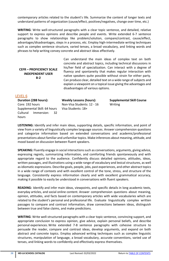contemporary articles related to the student's life. Summarize the content of longer texts and understand patterns of organization (cause/effect, positives/negatives, change over time, etc.)

**WRITING**: Write well-structured paragraphs with a clear topic sentence, and detailed, relative support to express opinions and describe people and events. Write extended 6-7 sentence paragraphs to show relationships like problem/solution, compare/contrast, cause/effect, advantages/disadvantages, steps in a process, etc. Employ high-intermediate writing techniques such as complex sentence structure, varied tenses, a broad vocabulary, and linking words and phrases to help writing convey concrete and abstract ideas effectively.

#### **CEFR – PROFICIENCY SCALE INDEPENDENT USER B-2**

Can understand the main ideas of complex text on both concrete and abstract topics, including technical discussions in his/her field of specialization. Can interact with a degree of fluency and spontaneity that makes regular interaction with native speakers quite possible without strain for either party. Can produce clear, detailed text on a wide range of subjects and explain a viewpoint on a topical issue giving the advantages and disadvantages of various options.

#### <span id="page-27-0"></span>LEVEL 6

**Duration (288 hours):**  Core: 192 hours Supplemental Skill: 64 hours Cultural Immersion: 32 hours

**Weekly Lessons (hours):** Non-Visa Students: 12 - 16 Visa Students: 18+

**Supplemental Skill Course** Writing

**LISTENING:** Identify and infer main ideas, supporting details, specific information, and point of view from a variety of linguistically complex language sources. Answer comprehension questions and categorize information based on extended conversations and academic/professional presentations about familiar and unfamiliar topics. Make inferences about meaning, attitude, and mood based on discussion between fluent speakers.

**SPEAKING:** Fluently engage in social interactions such as conversations, arguments, giving advice, expressing regrets, summarizing information, and comforting friends spontaneously and with appropriate regard to the audience. Confidently discuss detailed opinions, attitudes, ideas, written passages, and illustrations using a wide range of vocabulary and lexical structures, as well as idiomatic expressions. Describe goals, people, jobs, past experiences, and other abstract topics in a wide range of contexts and with excellent control of the tone, stress, and structure of the language. Consistently express information clearly and with excellent grammatical accuracy, making it possible to easily be understood in conversations with fluent speakers.

**READING:** Identify and infer main ideas, viewpoints, and specific details in long academic texts, everyday articles, and social online content. Answer comprehension questions about meaning, opinion, attitudes, and facts based on contemporary articles with wide vocabularies which are related to the student's personal and professional life. Evaluate linguistically complex written passages to compare and contrast information, draw connections between ideas, distinguish between true and false claims, and make predictions.

**WRITING**: Write well-structured paragraphs with a clear topic sentence, convincing support, and appropriate conclusion to express opinion, give advice, explain personal beliefs, and describe personal experiences. Write extended 7-8 sentence paragraphs with cohesive structure to persuade the reader, compare and contrast ideas, develop arguments, and expand on both abstract and concrete topics. Employ advanced writing techniques such as complex linguistic structures, manipulation of language, a broad vocabulary, accurate conventions, varied use of tenses, and linking words to confidently and effectively express themselves.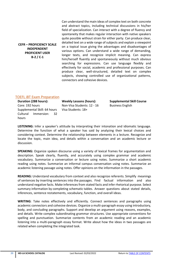#### **CEFR – PROFICIENCY SCALE INDEPENDENT PROFICIENT USER B-2 / C-1**

Can understand the main ideas of complex text on both concrete and abstract topics, including technical discussions in his/her field of specialization. Can interact with a degree of fluency and spontaneity that makes regular interaction with native speakers quite possible without strain for either party. Can produce clear, detailed text on a wide range of subjects and explain a viewpoint on a topical issue giving the advantages and disadvantages of various options. Can understand a wide range of demanding, longer texts, and recognize implicit meaning. Can express him/herself fluently and spontaneously without much obvious searching for expressions. Can use language flexibly and effectively for social, academic and professional purposes. Can produce clear, well-structured, detailed text on complex subjects, showing controlled use of organizational patterns, connectors and cohesive devices.

# <span id="page-28-0"></span>TOEFL iBT Exam Preparation

**Duration (288 hours):**  Core: 192 hours Supplemental Skill: 64 hours Cultural Immersion: 32 hours

**Weekly Lessons (hours):** Non-Visa Students: 12 - 16 Visa Students: 18+

**Supplemental Skill Course** Business English

**LISTENING:** Infer a speaker's attitude by interpreting their intonation and idiomatic language. Determine the function of what a speaker has said by analyzing their lexical choices and considering context. Determine the relationship between elements in a lecture. Recognize and locate the topic, main idea, and details within a conversation and an academic lecture or discussion.

**SPEAKING:** Organize spoken discourse using a variety of lexical frames for argumentation and description. Speak clearly, fluently, and accurately using complex grammar and academic vocabulary. Summarize a conversation or lecture using notes. Summarize a short academic reading using notes. Summarize an informal campus conversation using notes. Summarize an academic listening passage using notes. Offer opinions on the information in the passages.

**READING:** Understand vocabulary from context and also recognize referents. Simplify meanings of sentences by inserting sentences into the passages. Find factual information and also understand negative facts. Make inferences from stated facts and infer rhetorical purpose. Select summary information by completing schematic tables. Answer questions about stated details, inferences, sentence restatements, vocabulary, function, and overall ideas.

**WRITING**: Take notes effectively and efficiently. Connect sentences and paragraphs using academic connectors and cohesive devices. Organize a multi-paragraph essay using introductory, body, and concluding paragraphs. Support and develop an argument using reasons, examples, and details. Write complex subordinating grammar structures. Use appropriate conventions for spelling and punctuation. Summarize contents from an academic reading and an academic listening into a multi-paragraph essay format. Write about how the ideas in two passages are related when completing the integrated task.